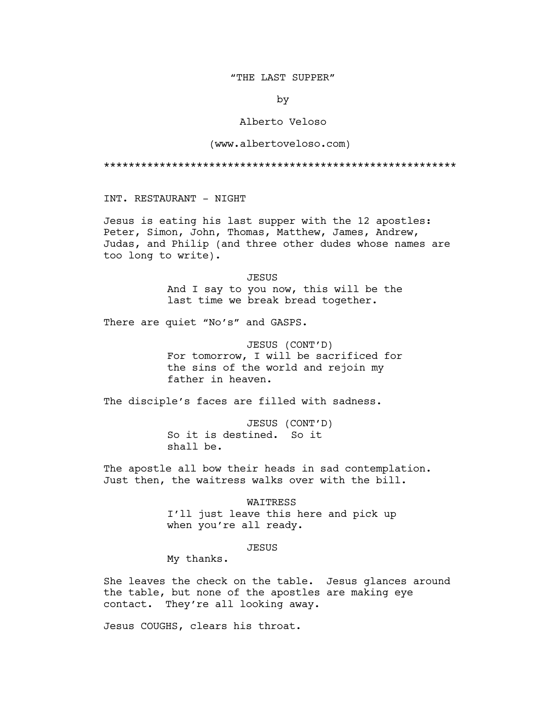### "THE LAST SUPPER"

by

# Alberto Veloso

### (www.albertoveloso.com)

#### \*\*\*\*\*\*\*\*\*\*\*\*\*\*\*\*\*\*\*\*\*\*\*\*\*\*\*\*\*\*\*\*\*\*\*\*\*\*\*\*\*\*\*\*\*\*\*\*\*\*\*\*\*\*\*\*\*

INT. RESTAURANT - NIGHT

Jesus is eating his last supper with the 12 apostles: Peter, Simon, John, Thomas, Matthew, James, Andrew, Judas, and Philip (and three other dudes whose names are too long to write).

> JESUS And I say to you now, this will be the last time we break bread together.

There are quiet "No's" and GASPS.

JESUS (CONT'D) For tomorrow, I will be sacrificed for the sins of the world and rejoin my father in heaven.

The disciple's faces are filled with sadness.

JESUS (CONT'D) So it is destined. So it shall be.

The apostle all bow their heads in sad contemplation. Just then, the waitress walks over with the bill.

> WAITRESS I'll just leave this here and pick up when you're all ready.

> > **JESUS**

My thanks.

She leaves the check on the table. Jesus glances around the table, but none of the apostles are making eye contact. They're all looking away.

Jesus COUGHS, clears his throat.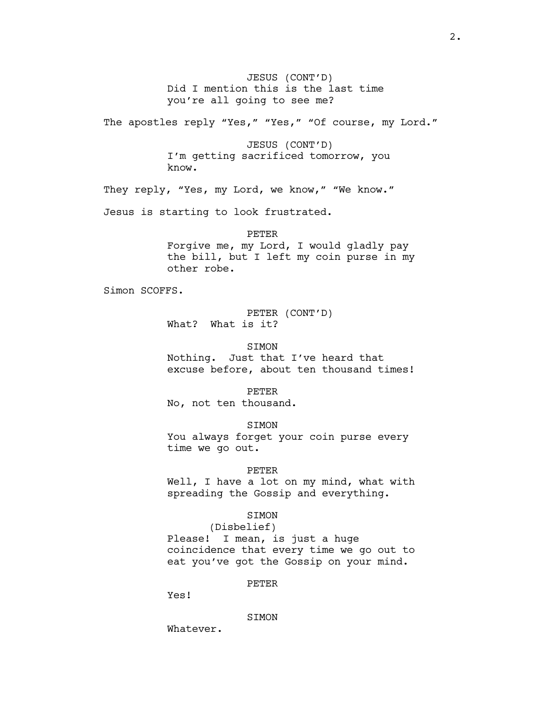JESUS (CONT'D) Did I mention this is the last time you're all going to see me?

The apostles reply "Yes," "Yes," "Of course, my Lord."

JESUS (CONT'D) I'm getting sacrificed tomorrow, you know.

They reply, "Yes, my Lord, we know," "We know."

Jesus is starting to look frustrated.

## PETER

Forgive me, my Lord, I would gladly pay the bill, but I left my coin purse in my other robe.

Simon SCOFFS.

PETER (CONT'D) What? What is it?

SIMON

Nothing. Just that I've heard that excuse before, about ten thousand times!

PETER

No, not ten thousand.

SIMON

You always forget your coin purse every time we go out.

#### PETER

Well, I have a lot on my mind, what with spreading the Gossip and everything.

### SIMON

(Disbelief)

Please! I mean, is just a huge coincidence that every time we go out to eat you've got the Gossip on your mind.

# PETER

Yes!

#### SIMON

Whatever.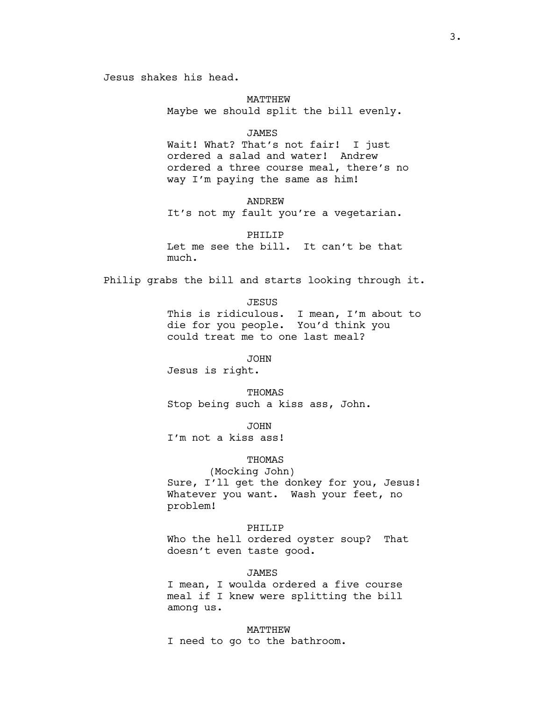Jesus shakes his head.

#### MATTHEW

Maybe we should split the bill evenly.

### JAMES

Wait! What? That's not fair! I just ordered a salad and water! Andrew ordered a three course meal, there's no way I'm paying the same as him!

#### ANDREW

It's not my fault you're a vegetarian.

### PHILIP

Let me see the bill. It can't be that much.

Philip grabs the bill and starts looking through it.

JESUS

This is ridiculous. I mean, I'm about to die for you people. You'd think you could treat me to one last meal?

JOHN

Jesus is right.

THOMAS Stop being such a kiss ass, John.

JOHN I'm not a kiss ass!

# THOMAS

(Mocking John) Sure, I'll get the donkey for you, Jesus! Whatever you want. Wash your feet, no problem!

### PHILIP

Who the hell ordered oyster soup? That doesn't even taste good.

#### JAMES

I mean, I woulda ordered a five course meal if I knew were splitting the bill among us.

### MATTHEW

I need to go to the bathroom.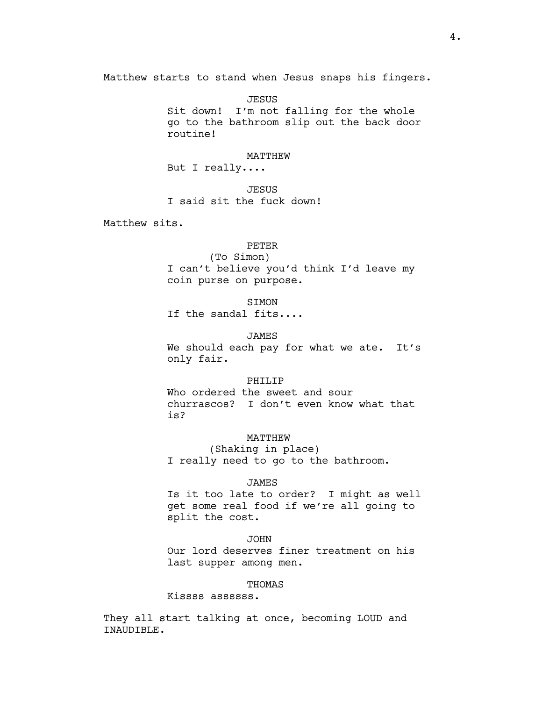Matthew starts to stand when Jesus snaps his fingers.

JESUS Sit down! I'm not falling for the whole go to the bathroom slip out the back door routine!

# MATTHEW

But I really....

**JESUS** I said sit the fuck down!

Matthew sits.

### PETER

(To Simon) I can't believe you'd think I'd leave my coin purse on purpose.

**STMON** 

If the sandal fits....

# JAMES

We should each pay for what we ate. It's only fair.

### PHILIP

Who ordered the sweet and sour churrascos? I don't even know what that is?

# MATTHEW

(Shaking in place) I really need to go to the bathroom.

#### JAMES

Is it too late to order? I might as well get some real food if we're all going to split the cost.

#### JOHN

Our lord deserves finer treatment on his last supper among men.

### THOMAS

Kissss assssss.

They all start talking at once, becoming LOUD and INAUDIBLE.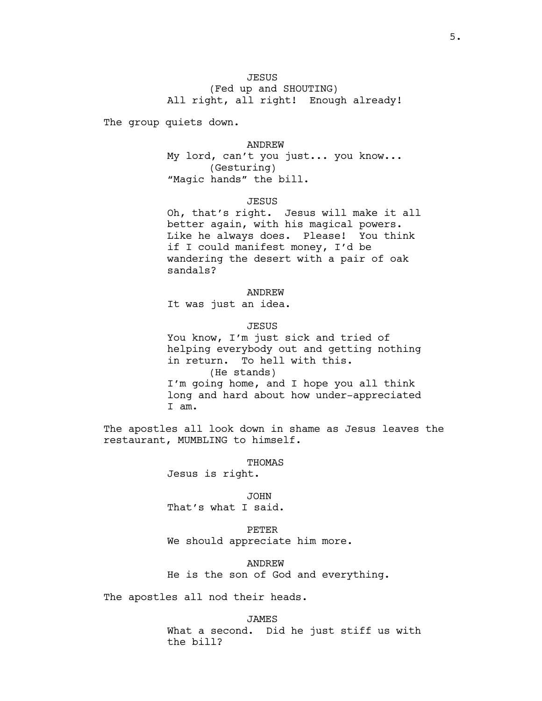(Fed up and SHOUTING) All right, all right! Enough already!

The group quiets down.

### ANDREW

My lord, can't you just... you know... (Gesturing) "Magic hands" the bill.

#### JESUS

Oh, that's right. Jesus will make it all better again, with his magical powers. Like he always does. Please! You think if I could manifest money, I'd be wandering the desert with a pair of oak sandals?

# ANDREW

It was just an idea.

# JESUS

You know, I'm just sick and tried of helping everybody out and getting nothing in return. To hell with this. (He stands) I'm going home, and I hope you all think long and hard about how under-appreciated I am.

The apostles all look down in shame as Jesus leaves the restaurant, MUMBLING to himself.

#### THOMAS

Jesus is right.

JOHN That's what I said.

PETER We should appreciate him more.

ANDREW He is the son of God and everything.

The apostles all nod their heads.

JAMES What a second. Did he just stiff us with the bill?